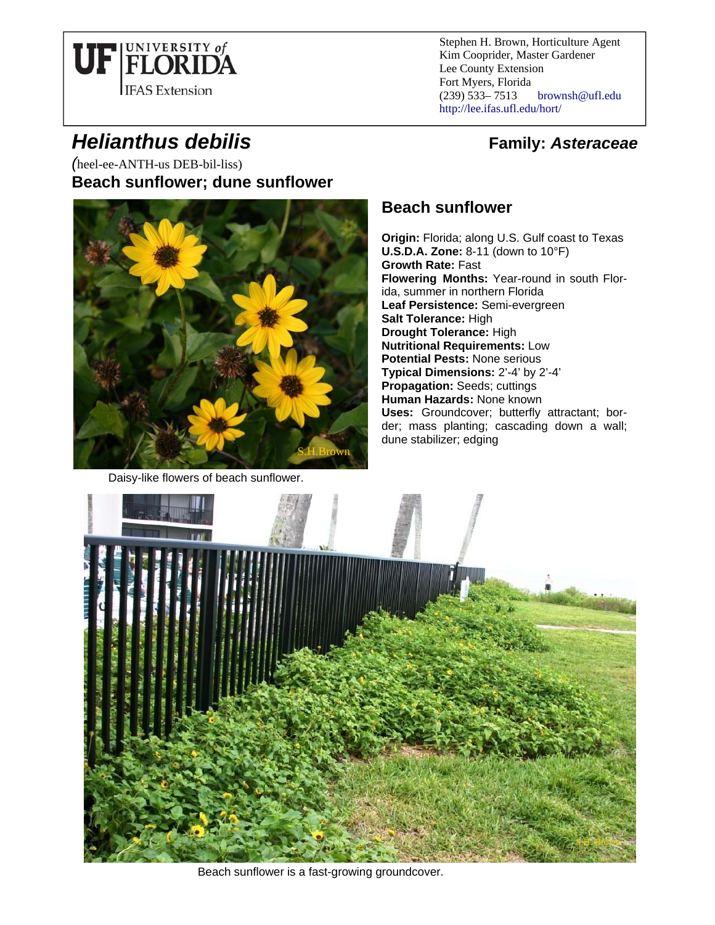

Stephen H. Brown, Horticulture Agent Kim Cooprider, Master Gardener Lee County Extension Fort Myers, Florida (239) 533– 7513 brownsh@ufl.edu http://lee.ifas.ufl.edu/hort/

*Helianthus debilis* **Family:** *Asteraceae Family: Asteraceae* 

*(*heel-ee-ANTH-us DEB-bil-liss) **Beach sunflower; dune sunflower**



Daisy-like flowers of beach sunflower.

## **Beach sunflower**

**Origin:** Florida; along U.S. Gulf coast to Texas **U.S.D.A. Zone:** 8-11 (down to 10°F) **Growth Rate:** Fast **Flowering Months:** Year-round in south Florida, summer in northern Florida **Leaf Persistence:** Semi-evergreen **Salt Tolerance:** High **Drought Tolerance:** High **Nutritional Requirements:** Low **Potential Pests:** None serious **Typical Dimensions:** 2'-4' by 2'-4' **Propagation:** Seeds; cuttings **Human Hazards:** None known **Uses:** Groundcover; butterfly attractant; border; mass planting; cascading down a wall; dune stabilizer; edging



Beach sunflower is a fast-growing groundcover.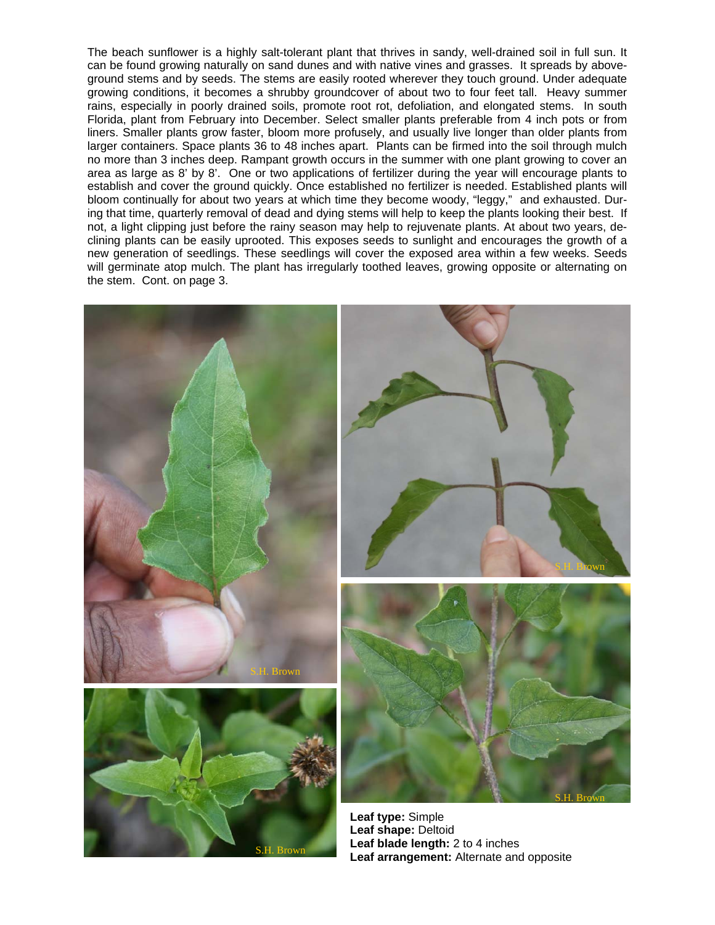The beach sunflower is a highly salt-tolerant plant that thrives in sandy, well-drained soil in full sun. It can be found growing naturally on sand dunes and with native vines and grasses. It spreads by aboveground stems and by seeds. The stems are easily rooted wherever they touch ground. Under adequate growing conditions, it becomes a shrubby groundcover of about two to four feet tall. Heavy summer rains, especially in poorly drained soils, promote root rot, defoliation, and elongated stems. In south Florida, plant from February into December. Select smaller plants preferable from 4 inch pots or from liners. Smaller plants grow faster, bloom more profusely, and usually live longer than older plants from larger containers. Space plants 36 to 48 inches apart. Plants can be firmed into the soil through mulch no more than 3 inches deep. Rampant growth occurs in the summer with one plant growing to cover an area as large as 8' by 8'. One or two applications of fertilizer during the year will encourage plants to establish and cover the ground quickly. Once established no fertilizer is needed. Established plants will bloom continually for about two years at which time they become woody, "leggy," and exhausted. During that time, quarterly removal of dead and dying stems will help to keep the plants looking their best. If not, a light clipping just before the rainy season may help to rejuvenate plants. At about two years, declining plants can be easily uprooted. This exposes seeds to sunlight and encourages the growth of a new generation of seedlings. These seedlings will cover the exposed area within a few weeks. Seeds will germinate atop mulch. The plant has irregularly toothed leaves, growing opposite or alternating on the stem. Cont. on page 3.

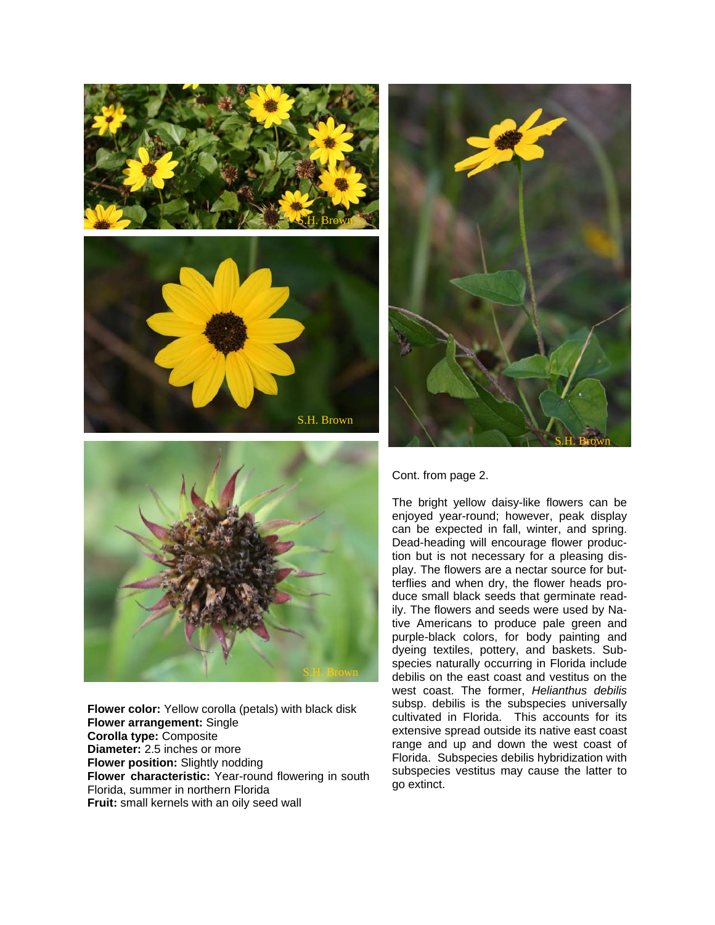





**Flower color:** Yellow corolla (petals) with black disk **Flower arrangement:** Single **Corolla type:** Composite **Diameter:** 2.5 inches or more **Flower position:** Slightly nodding **Flower characteristic:** Year-round flowering in south Florida, summer in northern Florida **Fruit:** small kernels with an oily seed wall



## Cont. from page 2.

The bright yellow daisy-like flowers can be enjoyed year-round; however, peak display can be expected in fall, winter, and spring. Dead-heading will encourage flower production but is not necessary for a pleasing display. The flowers are a nectar source for butterflies and when dry, the flower heads produce small black seeds that germinate readily. The flowers and seeds were used by Native Americans to produce pale green and purple-black colors, for body painting and dyeing textiles, pottery, and baskets. Subspecies naturally occurring in Florida include debilis on the east coast and vestitus on the west coast. The former, *Helianthus debilis*  subsp. debilis is the subspecies universally cultivated in Florida. This accounts for its extensive spread outside its native east coast range and up and down the west coast of Florida. Subspecies debilis hybridization with subspecies vestitus may cause the latter to go extinct.